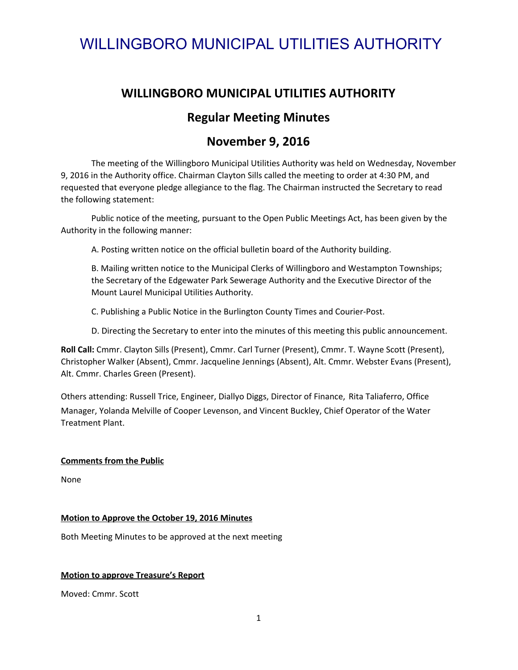## **WILLINGBORO MUNICIPAL UTILITIES AUTHORITY**

## **Regular Meeting Minutes**

## **November 9, 2016**

The meeting of the Willingboro Municipal Utilities Authority was held on Wednesday, November 9, 2016 in the Authority office. Chairman Clayton Sills called the meeting to order at 4:30 PM, and requested that everyone pledge allegiance to the flag. The Chairman instructed the Secretary to read the following statement:

Public notice of the meeting, pursuant to the Open Public Meetings Act, has been given by the Authority in the following manner:

A. Posting written notice on the official bulletin board of the Authority building.

B. Mailing written notice to the Municipal Clerks of Willingboro and Westampton Townships; the Secretary of the Edgewater Park Sewerage Authority and the Executive Director of the Mount Laurel Municipal Utilities Authority.

C. Publishing a Public Notice in the Burlington County Times and Courier-Post.

D. Directing the Secretary to enter into the minutes of this meeting this public announcement.

**Roll Call:** Cmmr. Clayton Sills (Present), Cmmr. Carl Turner (Present), Cmmr. T. Wayne Scott (Present), Christopher Walker (Absent), Cmmr. Jacqueline Jennings (Absent), Alt. Cmmr. Webster Evans (Present), Alt. Cmmr. Charles Green (Present).

Others attending: Russell Trice, Engineer, Diallyo Diggs, Director of Finance, Rita Taliaferro, Office Manager, Yolanda Melville of Cooper Levenson, and Vincent Buckley, Chief Operator of the Water Treatment Plant.

#### **Comments from the Public**

None

#### **Motion to Approve the October 19, 2016 Minutes**

Both Meeting Minutes to be approved at the next meeting

#### **Motion to approve Treasure's Report**

Moved: Cmmr. Scott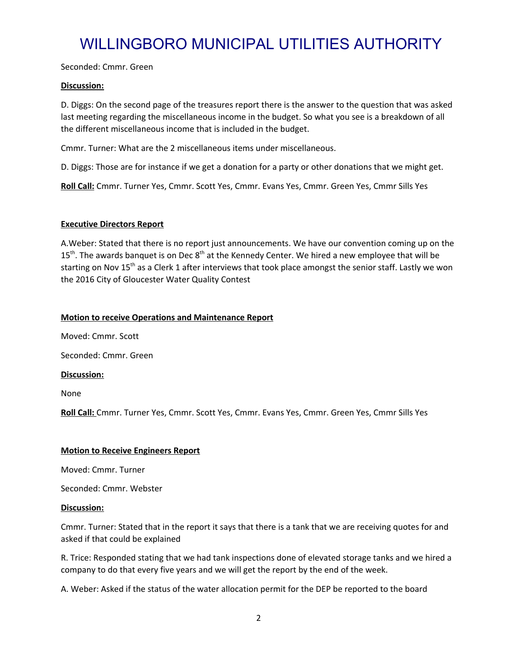Seconded: Cmmr. Green

#### **Discussion:**

D. Diggs: On the second page of the treasures report there is the answer to the question that was asked last meeting regarding the miscellaneous income in the budget. So what you see is a breakdown of all the different miscellaneous income that is included in the budget.

Cmmr. Turner: What are the 2 miscellaneous items under miscellaneous.

D. Diggs: Those are for instance if we get a donation for a party or other donations that we might get.

**Roll Call:** Cmmr. Turner Yes, Cmmr. Scott Yes, Cmmr. Evans Yes, Cmmr. Green Yes, Cmmr Sills Yes

#### **Executive Directors Report**

A.Weber: Stated that there is no report just announcements. We have our convention coming up on the  $15<sup>th</sup>$ . The awards banquet is on Dec  $8<sup>th</sup>$  at the Kennedy Center. We hired a new employee that will be starting on Nov 15<sup>th</sup> as a Clerk 1 after interviews that took place amongst the senior staff. Lastly we won the 2016 City of Gloucester Water Quality Contest

#### **Motion to receive Operations and Maintenance Report**

Moved: Cmmr. Scott

Seconded: Cmmr. Green

**Discussion:**

None

**Roll Call:** Cmmr. Turner Yes, Cmmr. Scott Yes, Cmmr. Evans Yes, Cmmr. Green Yes, Cmmr Sills Yes

#### **Motion to Receive Engineers Report**

Moved: Cmmr. Turner

Seconded: Cmmr. Webster

#### **Discussion:**

Cmmr. Turner: Stated that in the report it says that there is a tank that we are receiving quotes for and asked if that could be explained

R. Trice: Responded stating that we had tank inspections done of elevated storage tanks and we hired a company to do that every five years and we will get the report by the end of the week.

A. Weber: Asked if the status of the water allocation permit for the DEP be reported to the board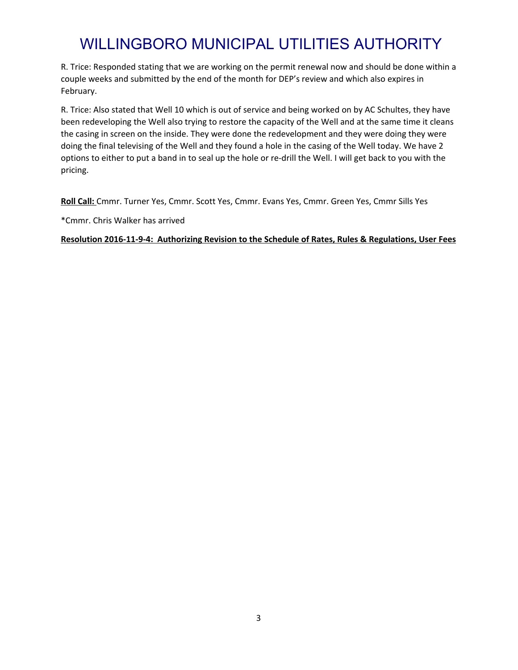R. Trice: Responded stating that we are working on the permit renewal now and should be done within a couple weeks and submitted by the end of the month for DEP's review and which also expires in February.

R. Trice: Also stated that Well 10 which is out of service and being worked on by AC Schultes, they have been redeveloping the Well also trying to restore the capacity of the Well and at the same time it cleans the casing in screen on the inside. They were done the redevelopment and they were doing they were doing the final televising of the Well and they found a hole in the casing of the Well today. We have 2 options to either to put a band in to seal up the hole or re-drill the Well. I will get back to you with the pricing.

**Roll Call:** Cmmr. Turner Yes, Cmmr. Scott Yes, Cmmr. Evans Yes, Cmmr. Green Yes, Cmmr Sills Yes

\*Cmmr. Chris Walker has arrived

**Resolution 2016-11-9-4: Authorizing Revision to the Schedule of Rates, Rules & Regulations, User Fees**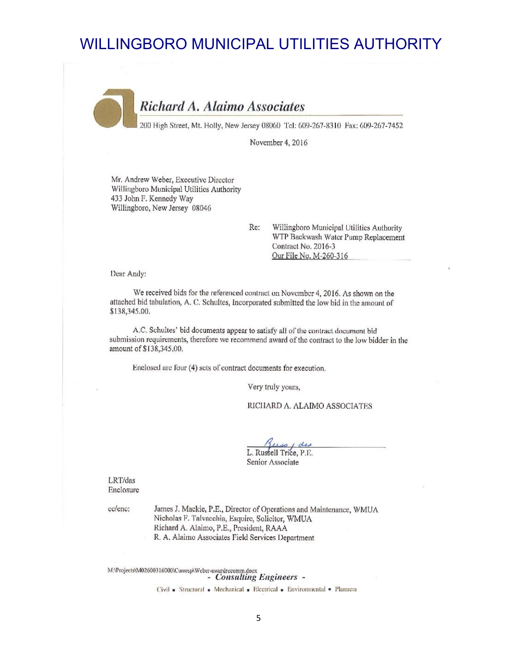Richard A. Alaimo Associates

200 High Street, Mt. Holly, New Jersey 08060 Tel: 609-267-8310 Fax: 609-267-7452

November 4, 2016

Mr. Andrew Weber, Executive Director Willingboro Municipal Utilities Authority 433 John F. Kennedy Way Willingboro, New Jersey 08046

> Re: Willingboro Municipal Utilities Authority WTP Backwash Water Pump Replacement Contract No. 2016-3 Our File No. M-260-316

Dear Andy:

We received bids for the referenced contract on November 4, 2016. As shown on the attached bid tabulation, A. C. Schultes, Incorporated submitted the low bid in the amount of \$138,345.00.

A.C. Schultes' bid documents appear to satisfy all of the contract document bid submission requirements, therefore we recommend award of the contract to the low bidder in the amount of \$138,345.00.

Enclosed are four (4) sets of contract documents for execution.

Very truly yours,

RICHARD A. ALAIMO ASSOCIATES

1 des Trice, P.E. Senior Associate

LRT/das Enclosure

cc/enc:

James J. Mackie, P.E., Director of Operations and Maintenance, WMUA Nicholas F. Talvacchia, Esquire, Solicitor, WMUA Richard A. Alaimo, P.E., President, RAAA R. A. Alaimo Associates Field Services Department

 $\label{thm:main} \begin{minipage}[c]{0.9\textwidth}{\begin{minipage}[c]{0.9\textwidth}{\begin{minipage}[c]{0.9\textwidth}{\begin{minipage}[c]{0.9\textwidth}{\begin{minipage}[c]{0.9\textwidth}{\begin{minipage}[c]{0.9\textwidth}{\begin{minipage}[c]{0.9\textwidth}{\begin{minipage}[c]{0.9\textwidth}{\begin{minipage}[c]{0.9\textwidth}{\begin{minipage}[c]{0.9\textwidth}{\begin{minipage}[c]{0.9\textwidth}{\begin{minipage}[c]{0.9\textwidth}{\begin{minipage}[c]{0.9\textwidth}{\begin{min$ 

Civil . Structural . Mechanical . Electrical . Environmental . Planners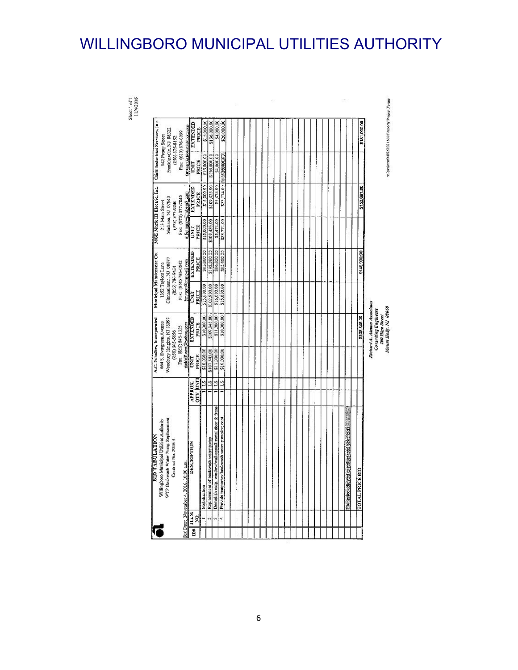Sheer': of !<br>11:4-2016

т. а тајеста МОД 5000 16000 године Геурге Голана

200 High Street<br>200 High Street<br>Mount Holly, NJ 08060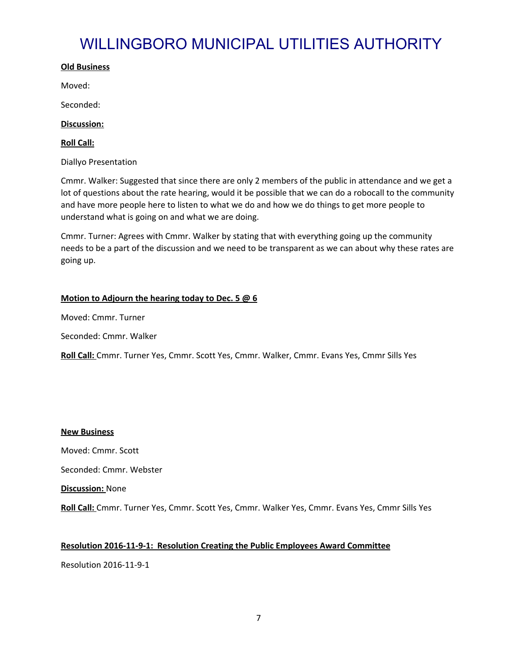#### **Old Business**

Moved:

Seconded:

**Discussion:**

**Roll Call:**

Diallyo Presentation

Cmmr. Walker: Suggested that since there are only 2 members of the public in attendance and we get a lot of questions about the rate hearing, would it be possible that we can do a robocall to the community and have more people here to listen to what we do and how we do things to get more people to understand what is going on and what we are doing.

Cmmr. Turner: Agrees with Cmmr. Walker by stating that with everything going up the community needs to be a part of the discussion and we need to be transparent as we can about why these rates are going up.

#### **Motion to Adjourn the hearing today to Dec. 5 @ 6**

Moved: Cmmr. Turner

Seconded: Cmmr. Walker

**Roll Call:** Cmmr. Turner Yes, Cmmr. Scott Yes, Cmmr. Walker, Cmmr. Evans Yes, Cmmr Sills Yes

#### **New Business**

Moved: Cmmr. Scott

Seconded: Cmmr. Webster

**Discussion:** None

**Roll Call:** Cmmr. Turner Yes, Cmmr. Scott Yes, Cmmr. Walker Yes, Cmmr. Evans Yes, Cmmr Sills Yes

#### **Resolution 2016-11-9-1: Resolution Creating the Public Employees Award Committee**

Resolution 2016-11-9-1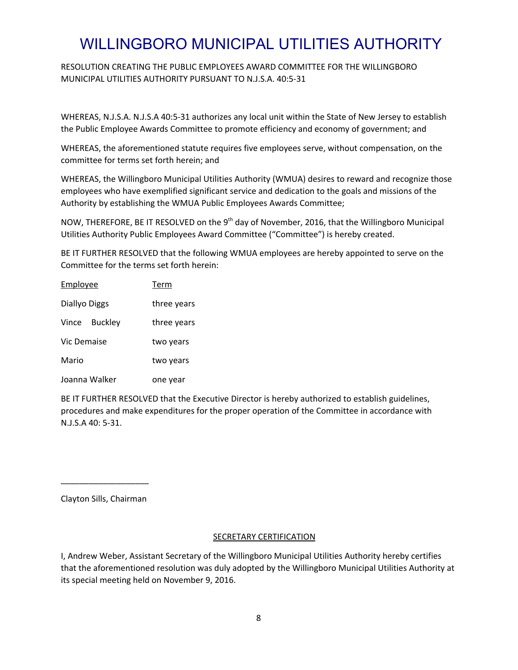RESOLUTION CREATING THE PUBLIC EMPLOYEES AWARD COMMITTEE FOR THE WILLINGBORO MUNICIPAL UTILITIES AUTHORITY PURSUANT TO N.J.S.A. 40:5-31

WHEREAS, N.J.S.A. N.J.S.A 40:5-31 authorizes any local unit within the State of New Jersey to establish the Public Employee Awards Committee to promote efficiency and economy of government; and

WHEREAS, the aforementioned statute requires five employees serve, without compensation, on the committee for terms set forth herein; and

WHEREAS, the Willingboro Municipal Utilities Authority (WMUA) desires to reward and recognize those employees who have exemplified significant service and dedication to the goals and missions of the Authority by establishing the WMUA Public Employees Awards Committee;

NOW, THEREFORE, BE IT RESOLVED on the 9<sup>th</sup> day of November, 2016, that the Willingboro Municipal Utilities Authority Public Employees Award Committee ("Committee") is hereby created.

BE IT FURTHER RESOLVED that the following WMUA employees are hereby appointed to serve on the Committee for the terms set forth herein:

| Employee                | Term        |
|-------------------------|-------------|
| Diallyo Diggs           | three years |
| Vince<br><b>Buckley</b> | three years |
| <b>Vic Demaise</b>      | two years   |
| Mario                   | two years   |
| Joanna Walker           | one year    |

BE IT FURTHER RESOLVED that the Executive Director is hereby authorized to establish guidelines, procedures and make expenditures for the proper operation of the Committee in accordance with N.J.S.A 40: 5-31.

Clayton Sills, Chairman

\_\_\_\_\_\_\_\_\_\_\_\_\_\_\_\_\_\_\_

#### **SECRETARY CERTIFICATION**

I, Andrew Weber, Assistant Secretary of the Willingboro Municipal Utilities Authority hereby certifies that the aforementioned resolution was duly adopted by the Willingboro Municipal Utilities Authority at its special meeting held on November 9, 2016.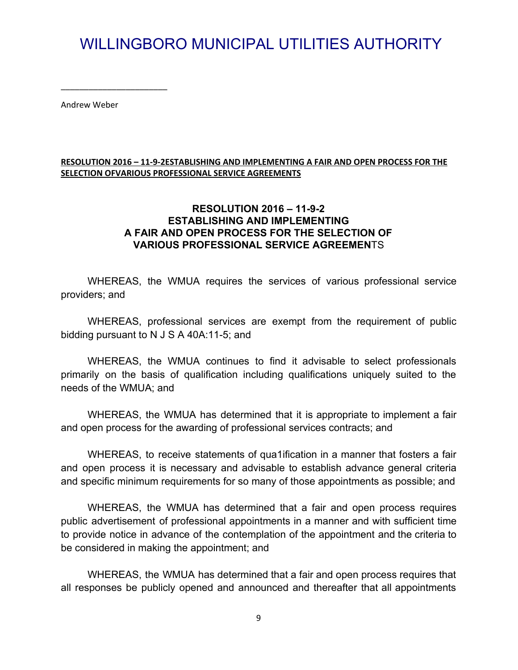Andrew Weber

\_\_\_\_\_\_\_\_\_\_\_\_\_\_\_\_\_\_\_\_\_\_\_

#### **RESOLUTION 2016 – 11-9-2ESTABLISHING AND IMPLEMENTING A FAIR AND OPEN PROCESS FOR THE SELECTION OFVARIOUS PROFESSIONAL SERVICE AGREEMENTS**

### **RESOLUTION 2016 – 11-9-2 ESTABLISHING AND IMPLEMENTING A FAIR AND OPEN PROCESS FOR THE SELECTION OF VARIOUS PROFESSIONAL SERVICE AGREEMEN**TS

WHEREAS, the WMUA requires the services of various professional service providers; and

WHEREAS, professional services are exempt from the requirement of public bidding pursuant to N J S A 40A:11-5; and

WHEREAS, the WMUA continues to find it advisable to select professionals primarily on the basis of qualification including qualifications uniquely suited to the needs of the WMUA; and

WHEREAS, the WMUA has determined that it is appropriate to implement a fair and open process for the awarding of professional services contracts; and

WHEREAS, to receive statements of qua1ification in a manner that fosters a fair and open process it is necessary and advisable to establish advance general criteria and specific minimum requirements for so many of those appointments as possible; and

WHEREAS, the WMUA has determined that a fair and open process requires public advertisement of professional appointments in a manner and with sufficient time to provide notice in advance of the contemplation of the appointment and the criteria to be considered in making the appointment; and

WHEREAS, the WMUA has determined that a fair and open process requires that all responses be publicly opened and announced and thereafter that all appointments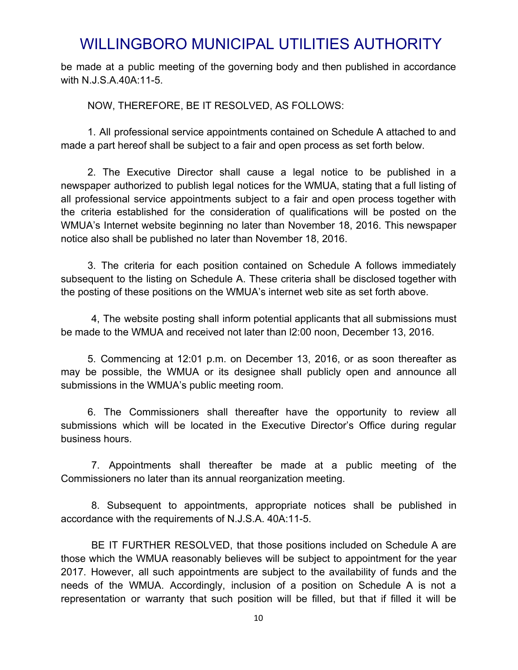be made at a public meeting of the governing body and then published in accordance with N.J.S.A.40A:11-5.

NOW, THEREFORE, BE IT RESOLVED, AS FOLLOWS:

1. All professional service appointments contained on Schedule A attached to and made a part hereof shall be subject to a fair and open process as set forth below.

2. The Executive Director shall cause a legal notice to be published in a newspaper authorized to publish legal notices for the WMUA, stating that a full listing of all professional service appointments subject to a fair and open process together with the criteria established for the consideration of qualifications will be posted on the WMUA's Internet website beginning no later than November 18, 2016. This newspaper notice also shall be published no later than November 18, 2016.

3. The criteria for each position contained on Schedule A follows immediately subsequent to the listing on Schedule A. These criteria shall be disclosed together with the posting of these positions on the WMUA's internet web site as set forth above.

4, The website posting shall inform potential applicants that all submissions must be made to the WMUA and received not later than l2:00 noon, December 13, 2016.

5. Commencing at 12:01 p.m. on December 13, 2016, or as soon thereafter as may be possible, the WMUA or its designee shall publicly open and announce all submissions in the WMUA's public meeting room.

6. The Commissioners shall thereafter have the opportunity to review all submissions which will be located in the Executive Director's Office during regular business hours.

7. Appointments shall thereafter be made at a public meeting of the Commissioners no later than its annual reorganization meeting.

8. Subsequent to appointments, appropriate notices shall be published in accordance with the requirements of N.J.S.A. 40A:11-5.

BE IT FURTHER RESOLVED, that those positions included on Schedule A are those which the WMUA reasonably believes will be subject to appointment for the year 2017. However, all such appointments are subject to the availability of funds and the needs of the WMUA. Accordingly, inclusion of a position on Schedule A is not a representation or warranty that such position will be filled, but that if filled it will be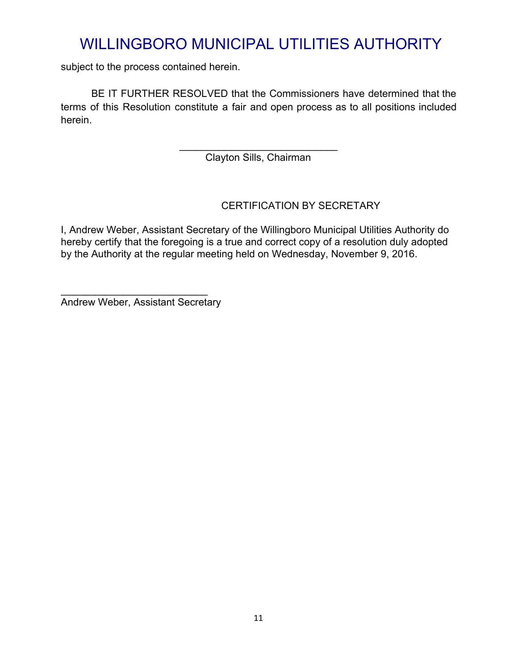subject to the process contained herein.

BE IT FURTHER RESOLVED that the Commissioners have determined that the terms of this Resolution constitute a fair and open process as to all positions included herein.

> \_\_\_\_\_\_\_\_\_\_\_\_\_\_\_\_\_\_\_\_\_\_\_\_\_\_\_\_ Clayton Sills, Chairman

## CERTIFICATION BY SECRETARY

I, Andrew Weber, Assistant Secretary of the Willingboro Municipal Utilities Authority do hereby certify that the foregoing is a true and correct copy of a resolution duly adopted by the Authority at the regular meeting held on Wednesday, November 9, 2016.

Andrew Weber, Assistant Secretary

 $\_$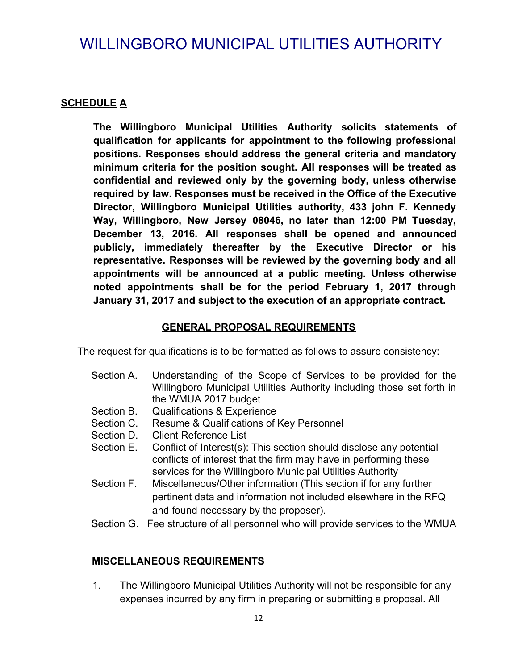### **SCHEDULE A**

**The Willingboro Municipal Utilities Authority solicits statements of qualification for applicants for appointment to the following professional positions. Responses should address the general criteria and mandatory minimum criteria for the position sought. All responses will be treated as confidential and reviewed only by the governing body, unless otherwise required by law. Responses must be received in the Office of the Executive Director, Willingboro Municipal Utilities authority, 433 john F. Kennedy Way, Willingboro, New Jersey 08046, no later than 12:00 PM Tuesday, December 13, 2016. All responses shall be opened and announced publicly, immediately thereafter by the Executive Director or his representative. Responses will be reviewed by the governing body and all appointments will be announced at a public meeting. Unless otherwise noted appointments shall be for the period February 1, 2017 through January 31, 2017 and subject to the execution of an appropriate contract.**

### **GENERAL PROPOSAL REQUIREMENTS**

The request for qualifications is to be formatted as follows to assure consistency:

- Section A. Understanding of the Scope of Services to be provided for the Willingboro Municipal Utilities Authority including those set forth in the WMUA 2017 budget
- Section B. Qualifications & Experience
- Section C. Resume & Qualifications of Key Personnel
- Section D. Client Reference List
- Section E. Conflict of Interest(s): This section should disclose any potential conflicts of interest that the firm may have in performing these services for the Willingboro Municipal Utilities Authority
- Section F. Miscellaneous/Other information (This section if for any further pertinent data and information not included elsewhere in the RFQ and found necessary by the proposer).
- Section G. Fee structure of all personnel who will provide services to the WMUA

### **MISCELLANEOUS REQUIREMENTS**

1. The Willingboro Municipal Utilities Authority will not be responsible for any expenses incurred by any firm in preparing or submitting a proposal. All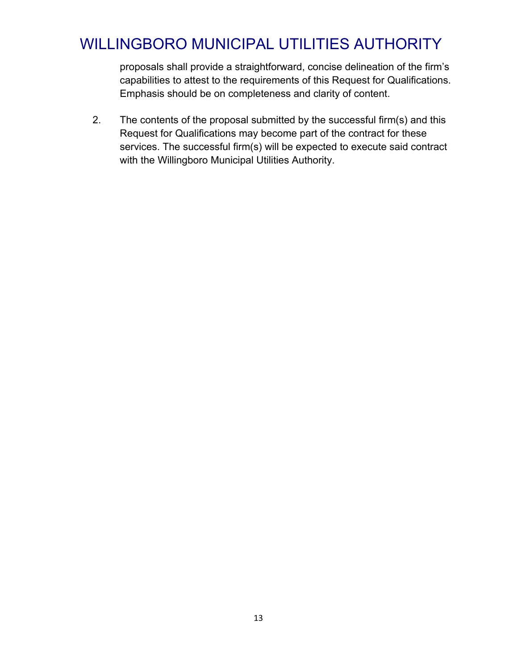proposals shall provide a straightforward, concise delineation of the firm's capabilities to attest to the requirements of this Request for Qualifications. Emphasis should be on completeness and clarity of content.

2. The contents of the proposal submitted by the successful firm(s) and this Request for Qualifications may become part of the contract for these services. The successful firm(s) will be expected to execute said contract with the Willingboro Municipal Utilities Authority.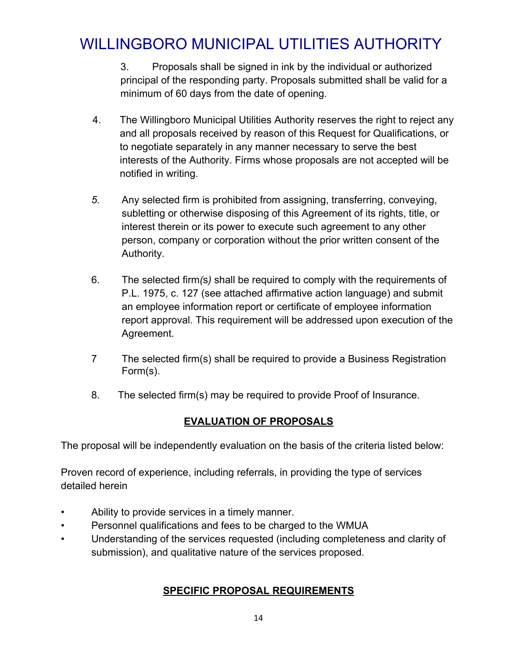3. Proposals shall be signed in ink by the individual or authorized principal of the responding party. Proposals submitted shall be valid for a minimum of 60 days from the date of opening.

- 4. The Willingboro Municipal Utilities Authority reserves the right to reject any and all proposals received by reason of this Request for Qualifications, or to negotiate separately in any manner necessary to serve the best interests of the Authority. Firms whose proposals are not accepted will be notified in writing.
- *5.* Any selected firm is prohibited from assigning, transferring, conveying, subletting or otherwise disposing of this Agreement of its rights, title, or interest therein or its power to execute such agreement to any other person, company or corporation without the prior written consent of the Authority.
- 6. The selected firm*(*s*)* shall be required to comply with the requirements of P.L. 1975, c. 127 (see attached affirmative action language) and submit an employee information report or certificate of employee information report approval. This requirement will be addressed upon execution of the Agreement.
- 7 The selected firm(s) shall be required to provide a Business Registration Form(s).
- 8. The selected firm(s) may be required to provide Proof of Insurance.

## **EVALUATION OF PROPOSALS**

The proposal will be independently evaluation on the basis of the criteria listed below:

Proven record of experience, including referrals, in providing the type of services detailed herein

- Ability to provide services in a timely manner.
- Personnel qualifications and fees to be charged to the WMUA
- Understanding of the services requested (including completeness and clarity of submission), and qualitative nature of the services proposed.

## **SPECIFIC PROPOSAL REQUIREMENTS**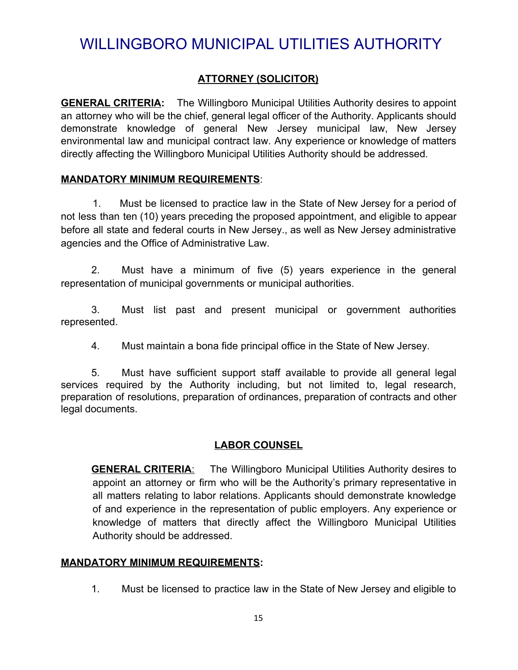### **ATTORNEY (SOLICITOR)**

**GENERAL CRITERIA:** The Willingboro Municipal Utilities Authority desires to appoint an attorney who will be the chief, general legal officer of the Authority. Applicants should demonstrate knowledge of general New Jersey municipal law, New Jersey environmental law and municipal contract law. Any experience or knowledge of matters directly affecting the Willingboro Municipal Utilities Authority should be addressed.

#### **MANDATORY MINIMUM REQUIREMENTS**:

1. Must be licensed to practice law in the State of New Jersey for a period of not less than ten (10) years preceding the proposed appointment, and eligible to appear before all state and federal courts in New Jersey., as well as New Jersey administrative agencies and the Office of Administrative Law.

2. Must have a minimum of five (5) years experience in the general representation of municipal governments or municipal authorities.

3. Must list past and present municipal or government authorities represented.

4. Must maintain a bona fide principal office in the State of New Jersey.

5. Must have sufficient support staff available to provide all general legal services required by the Authority including, but not limited to, legal research, preparation of resolutions, preparation of ordinances, preparation of contracts and other legal documents.

### **LABOR COUNSEL**

**GENERAL CRITERIA**: The Willingboro Municipal Utilities Authority desires to appoint an attorney or firm who will be the Authority's primary representative in all matters relating to labor relations. Applicants should demonstrate knowledge of and experience in the representation of public employers. Any experience or knowledge of matters that directly affect the Willingboro Municipal Utilities Authority should be addressed.

#### **MANDATORY MINIMUM REQUIREMENTS:**

1. Must be licensed to practice law in the State of New Jersey and eligible to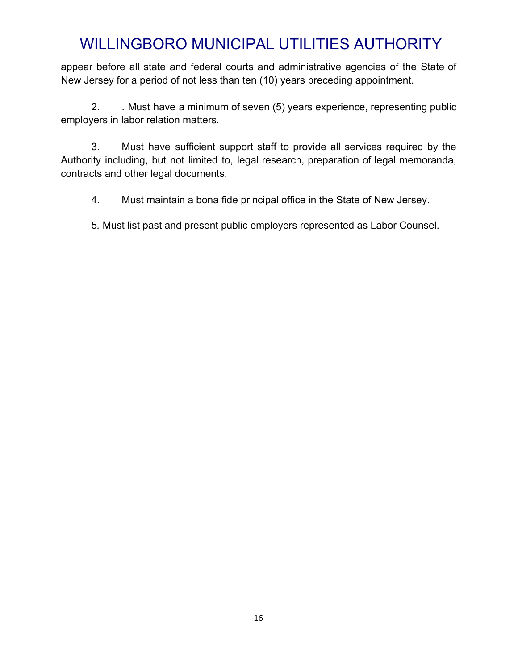appear before all state and federal courts and administrative agencies of the State of New Jersey for a period of not less than ten (10) years preceding appointment.

2. . Must have a minimum of seven (5) years experience, representing public employers in labor relation matters.

3. Must have sufficient support staff to provide all services required by the Authority including, but not limited to, legal research, preparation of legal memoranda, contracts and other legal documents.

4. Must maintain a bona fide principal office in the State of New Jersey.

5*.* Must list past and present public employers represented as Labor Counsel.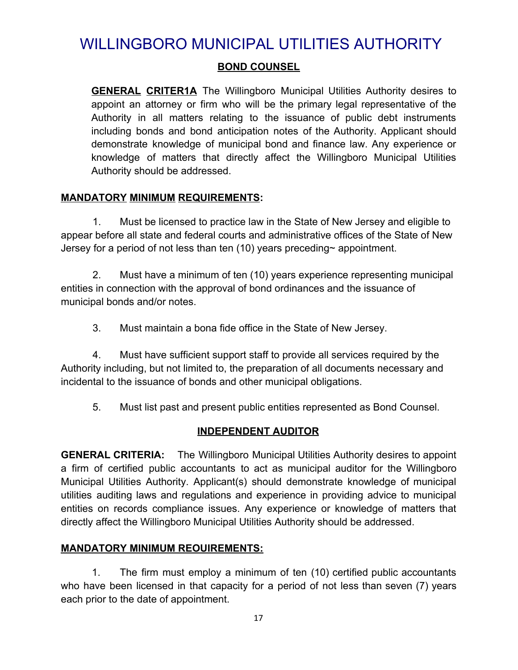### **BOND COUNSEL**

**GENERAL CRITER1A** The Willingboro Municipal Utilities Authority desires to appoint an attorney or firm who will be the primary legal representative of the Authority in all matters relating to the issuance of public debt instruments including bonds and bond anticipation notes of the Authority. Applicant should demonstrate knowledge of municipal bond and finance law. Any experience or knowledge of matters that directly affect the Willingboro Municipal Utilities Authority should be addressed.

#### **MANDATORY MINIMUM REQUIREMENTS:**

1. Must be licensed to practice law in the State of New Jersey and eligible to appear before all state and federal courts and administrative offices of the State of New Jersey for a period of not less than ten (10) years preceding~ appointment.

2. Must have a minimum of ten (10) years experience representing municipal entities in connection with the approval of bond ordinances and the issuance of municipal bonds and/or notes.

3. Must maintain a bona fide office in the State of New Jersey.

4. Must have sufficient support staff to provide all services required by the Authority including, but not limited to, the preparation of all documents necessary and incidental to the issuance of bonds and other municipal obligations.

5. Must list past and present public entities represented as Bond Counsel.

### **INDEPENDENT AUDITOR**

**GENERAL CRITERIA:** The Willingboro Municipal Utilities Authority desires to appoint a firm of certified public accountants to act as municipal auditor for the Willingboro Municipal Utilities Authority. Applicant(s) should demonstrate knowledge of municipal utilities auditing laws and regulations and experience in providing advice to municipal entities on records compliance issues. Any experience or knowledge of matters that directly affect the Willingboro Municipal Utilities Authority should be addressed.

### **MANDATORY MINIMUM REOUIREMENTS:**

1. The firm must employ a minimum of ten (10) certified public accountants who have been licensed in that capacity for a period of not less than seven (7) years each prior to the date of appointment.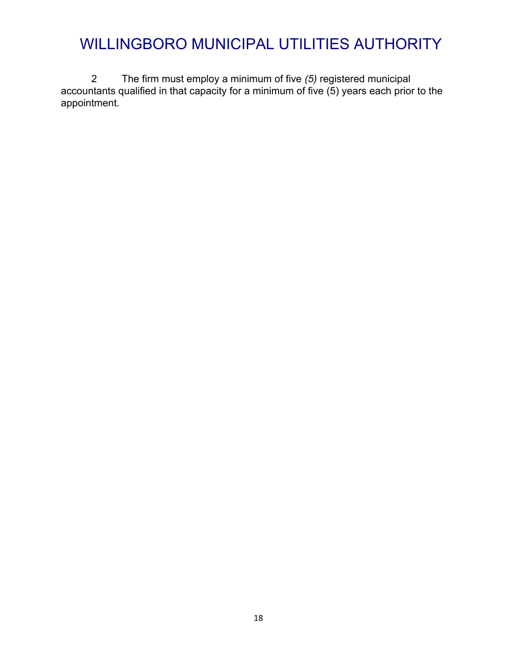2 The firm must employ a minimum of five *(5)* registered municipal accountants qualified in that capacity for a minimum of five (5) years each prior to the appointment.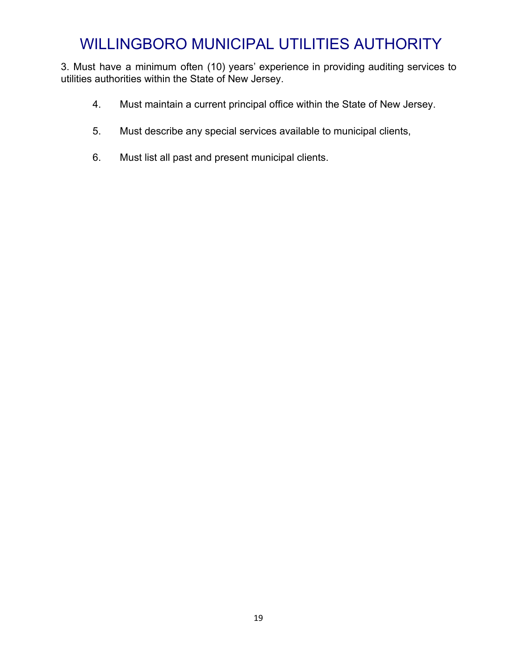3. Must have a minimum often (10) years' experience in providing auditing services to utilities authorities within the State of New Jersey.

- 4. Must maintain a current principal office within the State of New Jersey.
- 5. Must describe any special services available to municipal clients,
- 6. Must list all past and present municipal clients.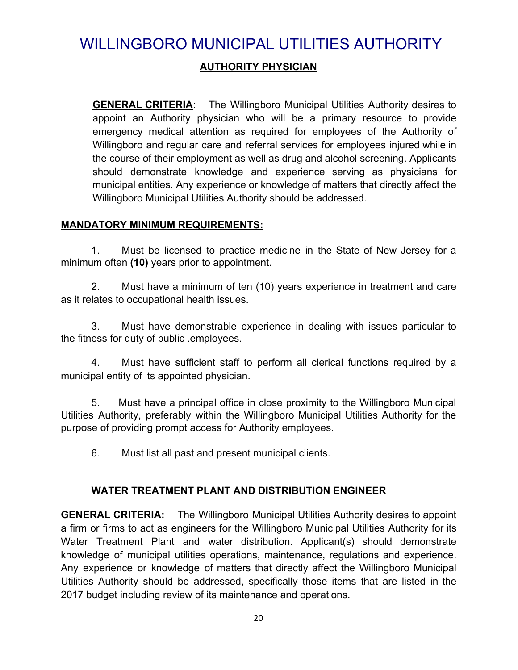## **AUTHORITY PHYSICIAN**

**GENERAL CRITERIA**: The Willingboro Municipal Utilities Authority desires to appoint an Authority physician who will be a primary resource to provide emergency medical attention as required for employees of the Authority of Willingboro and regular care and referral services for employees injured while in the course of their employment as well as drug and alcohol screening. Applicants should demonstrate knowledge and experience serving as physicians for municipal entities. Any experience or knowledge of matters that directly affect the Willingboro Municipal Utilities Authority should be addressed.

#### **MANDATORY MINIMUM REQUIREMENTS:**

1. Must be licensed to practice medicine in the State of New Jersey for a minimum often **(10)** years prior to appointment.

2. Must have a minimum of ten (10) years experience in treatment and care as it relates to occupational health issues.

3. Must have demonstrable experience in dealing with issues particular to the fitness for duty of public .employees.

4. Must have sufficient staff to perform all clerical functions required by a municipal entity of its appointed physician.

5. Must have a principal office in close proximity to the Willingboro Municipal Utilities Authority, preferably within the Willingboro Municipal Utilities Authority for the purpose of providing prompt access for Authority employees.

6. Must list all past and present municipal clients.

### **WATER TREATMENT PLANT AND DISTRIBUTION ENGINEER**

**GENERAL CRITERIA:** The Willingboro Municipal Utilities Authority desires to appoint a firm or firms to act as engineers for the Willingboro Municipal Utilities Authority for its Water Treatment Plant and water distribution. Applicant(s) should demonstrate knowledge of municipal utilities operations, maintenance, regulations and experience. Any experience or knowledge of matters that directly affect the Willingboro Municipal Utilities Authority should be addressed, specifically those items that are listed in the 2017 budget including review of its maintenance and operations.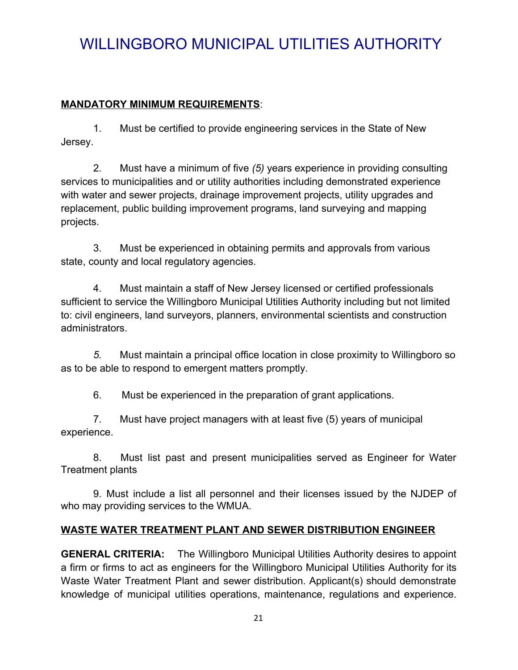### **MANDATORY MINIMUM REQUIREMENTS**:

1. Must be certified to provide engineering services in the State of New Jersey.

2. Must have a minimum of five *(5)* years experience in providing consulting services to municipalities and or utility authorities including demonstrated experience with water and sewer projects, drainage improvement projects, utility upgrades and replacement, public building improvement programs, land surveying and mapping projects.

3. Must be experienced in obtaining permits and approvals from various state, county and local regulatory agencies.

4. Must maintain a staff of New Jersey licensed or certified professionals sufficient to service the Willingboro Municipal Utilities Authority including but not limited to: civil engineers, land surveyors, planners, environmental scientists and construction administrators.

*5.* Must maintain a principal office location in close proximity to Willingboro so as to be able to respond to emergent matters promptly.

6. Must be experienced in the preparation of grant applications.

7. Must have project managers with at least five (5) years of municipal experience.

8. Must list past and present municipalities served as Engineer for Water Treatment plants

9. Must include a list all personnel and their licenses issued by the NJDEP of who may providing services to the WMUA.

## **WASTE WATER TREATMENT PLANT AND SEWER DISTRIBUTION ENGINEER**

**GENERAL CRITERIA:** The Willingboro Municipal Utilities Authority desires to appoint a firm or firms to act as engineers for the Willingboro Municipal Utilities Authority for its Waste Water Treatment Plant and sewer distribution. Applicant(s) should demonstrate knowledge of municipal utilities operations, maintenance, regulations and experience.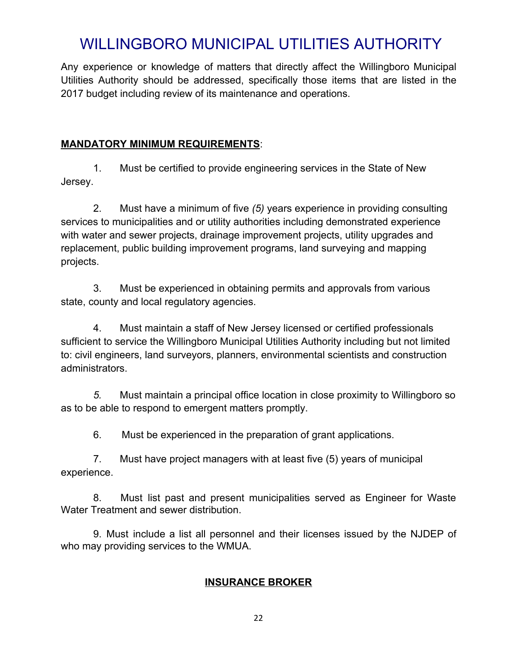Any experience or knowledge of matters that directly affect the Willingboro Municipal Utilities Authority should be addressed, specifically those items that are listed in the 2017 budget including review of its maintenance and operations.

### **MANDATORY MINIMUM REQUIREMENTS**:

1. Must be certified to provide engineering services in the State of New Jersey.

2. Must have a minimum of five *(5)* years experience in providing consulting services to municipalities and or utility authorities including demonstrated experience with water and sewer projects, drainage improvement projects, utility upgrades and replacement, public building improvement programs, land surveying and mapping projects.

3. Must be experienced in obtaining permits and approvals from various state, county and local regulatory agencies.

4. Must maintain a staff of New Jersey licensed or certified professionals sufficient to service the Willingboro Municipal Utilities Authority including but not limited to: civil engineers, land surveyors, planners, environmental scientists and construction administrators.

*5.* Must maintain a principal office location in close proximity to Willingboro so as to be able to respond to emergent matters promptly.

6. Must be experienced in the preparation of grant applications.

7. Must have project managers with at least five (5) years of municipal experience.

8. Must list past and present municipalities served as Engineer for Waste Water Treatment and sewer distribution.

9. Must include a list all personnel and their licenses issued by the NJDEP of who may providing services to the WMUA.

## **INSURANCE BROKER**

22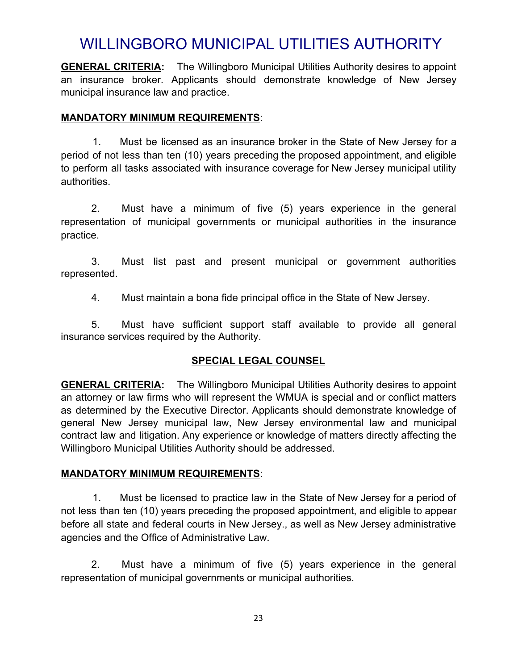**GENERAL CRITERIA:** The Willingboro Municipal Utilities Authority desires to appoint an insurance broker. Applicants should demonstrate knowledge of New Jersey municipal insurance law and practice.

### **MANDATORY MINIMUM REQUIREMENTS**:

1. Must be licensed as an insurance broker in the State of New Jersey for a period of not less than ten (10) years preceding the proposed appointment, and eligible to perform all tasks associated with insurance coverage for New Jersey municipal utility authorities.

2. Must have a minimum of five (5) years experience in the general representation of municipal governments or municipal authorities in the insurance practice.

3. Must list past and present municipal or government authorities represented.

4. Must maintain a bona fide principal office in the State of New Jersey.

5. Must have sufficient support staff available to provide all general insurance services required by the Authority.

### **SPECIAL LEGAL COUNSEL**

**GENERAL CRITERIA:** The Willingboro Municipal Utilities Authority desires to appoint an attorney or law firms who will represent the WMUA is special and or conflict matters as determined by the Executive Director. Applicants should demonstrate knowledge of general New Jersey municipal law, New Jersey environmental law and municipal contract law and litigation. Any experience or knowledge of matters directly affecting the Willingboro Municipal Utilities Authority should be addressed.

### **MANDATORY MINIMUM REQUIREMENTS**:

1. Must be licensed to practice law in the State of New Jersey for a period of not less than ten (10) years preceding the proposed appointment, and eligible to appear before all state and federal courts in New Jersey., as well as New Jersey administrative agencies and the Office of Administrative Law.

2. Must have a minimum of five (5) years experience in the general representation of municipal governments or municipal authorities.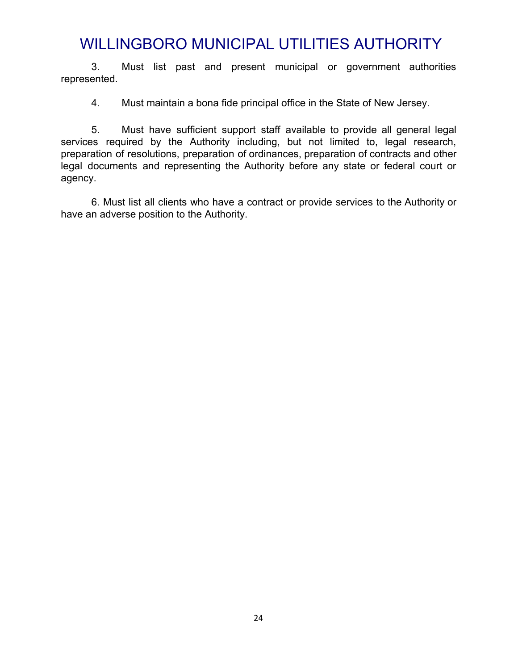3. Must list past and present municipal or government authorities represented.

4. Must maintain a bona fide principal office in the State of New Jersey.

5. Must have sufficient support staff available to provide all general legal services required by the Authority including, but not limited to, legal research, preparation of resolutions, preparation of ordinances, preparation of contracts and other legal documents and representing the Authority before any state or federal court or agency.

6. Must list all clients who have a contract or provide services to the Authority or have an adverse position to the Authority.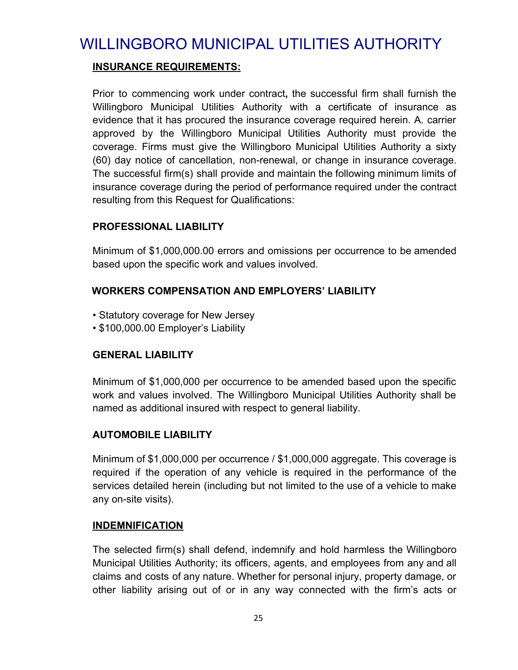### **INSURANCE REQUIREMENTS:**

Prior to commencing work under contract**,** the successful firm shall furnish the Willingboro Municipal Utilities Authority with a certificate of insurance as evidence that it has procured the insurance coverage required herein. A*.* carrier approved by the Willingboro Municipal Utilities Authority must provide the coverage. Firms must give the Willingboro Municipal Utilities Authority a sixty (60) day notice of cancellation, non-renewal, or change in insurance coverage. The successful firm(s) shall provide and maintain the following minimum limits of insurance coverage during the period of performance required under the contract resulting from this Request for Qualifications:

## **PROFESSIONAL LIABILITY**

Minimum of \$1,000,000.00 errors and omissions per occurrence to be amended based upon the specific work and values involved.

### **WORKERS COMPENSATION AND EMPLOYERS' LIABILITY**

- Statutory coverage for New Jersey
- \$100,000.00 Employer's Liability

## **GENERAL LIABILITY**

Minimum of \$1,000,000 per occurrence to be amended based upon the specific work and values involved. The Willingboro Municipal Utilities Authority shall be named as additional insured with respect to general liability.

## **AUTOMOBILE LIABILITY**

Minimum of \$1,000,000 per occurrence / \$1,000,000 aggregate. This coverage is required if the operation of any vehicle is required in the performance of the services detailed herein (including but not limited to the use of a vehicle to make any on-site visits).

### **INDEMNIFICATION**

The selected firm(s) shall defend, indemnify and hold harmless the Willingboro Municipal Utilities Authority; its officers, agents, and employees from any and all claims and costs of any nature. Whether for personal injury, property damage, or other liability arising out of or in any way connected with the firm's acts or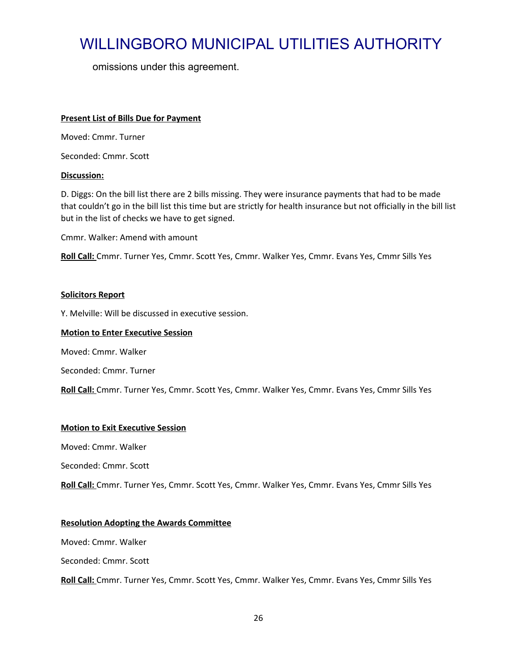omissions under this agreement.

#### **Present List of Bills Due for Payment**

Moved: Cmmr. Turner

Seconded: Cmmr. Scott

#### **Discussion:**

D. Diggs: On the bill list there are 2 bills missing. They were insurance payments that had to be made that couldn't go in the bill list this time but are strictly for health insurance but not officially in the bill list but in the list of checks we have to get signed.

Cmmr. Walker: Amend with amount

**Roll Call:** Cmmr. Turner Yes, Cmmr. Scott Yes, Cmmr. Walker Yes, Cmmr. Evans Yes, Cmmr Sills Yes

#### **Solicitors Report**

Y. Melville: Will be discussed in executive session.

#### **Motion to Enter Executive Session**

Moved: Cmmr. Walker

Seconded: Cmmr. Turner

**Roll Call:** Cmmr. Turner Yes, Cmmr. Scott Yes, Cmmr. Walker Yes, Cmmr. Evans Yes, Cmmr Sills Yes

#### **Motion to Exit Executive Session**

Moved: Cmmr. Walker

Seconded: Cmmr. Scott

**Roll Call:** Cmmr. Turner Yes, Cmmr. Scott Yes, Cmmr. Walker Yes, Cmmr. Evans Yes, Cmmr Sills Yes

#### **Resolution Adopting the Awards Committee**

Moved: Cmmr. Walker

Seconded: Cmmr. Scott

**Roll Call:** Cmmr. Turner Yes, Cmmr. Scott Yes, Cmmr. Walker Yes, Cmmr. Evans Yes, Cmmr Sills Yes